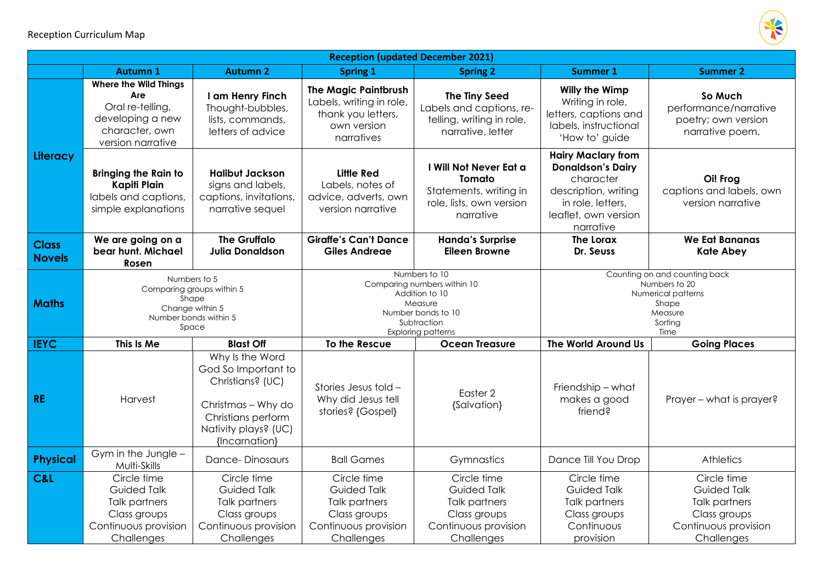

| <b>Reception (updated December 2021)</b> |                                                                                                                    |                                                                                                                                                 |                                                                                                                                             |                                                                                                          |                                                                                                                                                      |                                                                                                          |  |  |  |
|------------------------------------------|--------------------------------------------------------------------------------------------------------------------|-------------------------------------------------------------------------------------------------------------------------------------------------|---------------------------------------------------------------------------------------------------------------------------------------------|----------------------------------------------------------------------------------------------------------|------------------------------------------------------------------------------------------------------------------------------------------------------|----------------------------------------------------------------------------------------------------------|--|--|--|
|                                          | <b>Autumn 1</b>                                                                                                    | <b>Autumn 2</b>                                                                                                                                 | <b>Spring 1</b>                                                                                                                             | <b>Spring 2</b>                                                                                          | <b>Summer 1</b>                                                                                                                                      | <b>Summer 2</b>                                                                                          |  |  |  |
| Literacy                                 | <b>Where the Wild Things</b><br>Are<br>Oral re-telling,<br>developing a new<br>character, own<br>version narrative | I am Henry Finch<br>Thought-bubbles,<br>lists, commands,<br>letters of advice                                                                   | <b>The Magic Paintbrush</b><br>Labels, writing in role,<br>thank you letters,<br>own version<br>narratives                                  | The Tiny Seed<br>Labels and captions, re-<br>telling, writing in role,<br>narrative, letter              | <b>Willy the Wimp</b><br>Writing in role,<br>letters, captions and<br>labels, instructional<br>'How to' guide                                        | So Much<br>performance/narrative<br>poetry; own version<br>narrative poem.                               |  |  |  |
|                                          | <b>Bringing the Rain to</b><br><b>Kapiti Plain</b><br>labels and captions,<br>simple explanations                  | <b>Halibut Jackson</b><br>signs and labels,<br>captions, invitations,<br>narrative sequel                                                       | <b>Little Red</b><br>Labels, notes of<br>advice, adverts, own<br>version narrative                                                          | I Will Not Never Eat a<br>Tomato<br>Statements, writing in<br>role, lists, own version<br>narrative      | <b>Hairy Maclary from</b><br><b>Donaldson's Dairy</b><br>character<br>description, writing<br>in role, letters,<br>leaflet, own version<br>narrative | Oi! Frog<br>captions and labels, own<br>version narrative                                                |  |  |  |
| <b>Class</b><br><b>Novels</b>            | We are going on a<br>bear hunt. Michael<br>Rosen                                                                   | <b>The Gruffalo</b><br><b>Julia Donaldson</b>                                                                                                   | <b>Giraffe's Can't Dance</b><br><b>Giles Andreae</b>                                                                                        | <b>Handa's Surprise</b><br><b>Eileen Browne</b>                                                          | <b>The Lorax</b><br>Dr. Seuss                                                                                                                        | <b>We Eat Bananas</b><br><b>Kate Abey</b>                                                                |  |  |  |
| <b>Maths</b>                             | Numbers to 5<br>Comparing groups within 5<br>Shape<br>Change within 5<br>Number bonds within 5<br>Space            |                                                                                                                                                 | Numbers to 10<br>Comparing numbers within 10<br>Addition to 10<br>Measure<br>Number bonds to 10<br>Subtraction<br><b>Exploring patterns</b> |                                                                                                          | Counting on and counting back<br>Numbers to 20<br>Numerical patterns<br>Shape<br>Measure<br>Sorting<br>Time                                          |                                                                                                          |  |  |  |
| <b>IEYC</b>                              | This Is Me                                                                                                         | <b>Blast Off</b>                                                                                                                                | To the Rescue                                                                                                                               | <b>Ocean Treasure</b>                                                                                    | The World Around Us                                                                                                                                  | <b>Going Places</b>                                                                                      |  |  |  |
| <b>RE</b>                                | Harvest                                                                                                            | Why Is the Word<br>God So Important to<br>Christians? (UC)<br>Christmas - Why do<br>Christians perform<br>Nativity plays? (UC)<br>{Incarnation} | Stories Jesus told -<br>Why did Jesus tell<br>stories? {Gospel}                                                                             | Easter <sub>2</sub><br>{Salvation}                                                                       | Friendship - what<br>makes a good<br>friend?                                                                                                         | Prayer - what is prayer?                                                                                 |  |  |  |
| <b>Physical</b>                          | Gym in the Jungle -<br>Multi-Skills                                                                                | <b>Dance-Dinosaurs</b>                                                                                                                          | <b>Ball Games</b>                                                                                                                           | Gymnastics                                                                                               | Dance Till You Drop                                                                                                                                  | Athletics                                                                                                |  |  |  |
| C&L                                      | Circle time<br><b>Guided Talk</b><br>Talk partners<br>Class groups<br>Continuous provision<br>Challenges           | Circle time<br><b>Guided Talk</b><br><b>Talk partners</b><br>Class groups<br>Continuous provision<br>Challenges                                 | Circle time<br><b>Guided Talk</b><br><b>Talk partners</b><br>Class groups<br>Continuous provision<br>Challenges                             | Circle time<br><b>Guided Talk</b><br>Talk partners<br>Class groups<br>Continuous provision<br>Challenges | Circle time<br><b>Guided Talk</b><br>Talk partners<br>Class groups<br>Continuous<br>provision                                                        | Circle time<br><b>Guided Talk</b><br>Talk partners<br>Class groups<br>Continuous provision<br>Challenges |  |  |  |